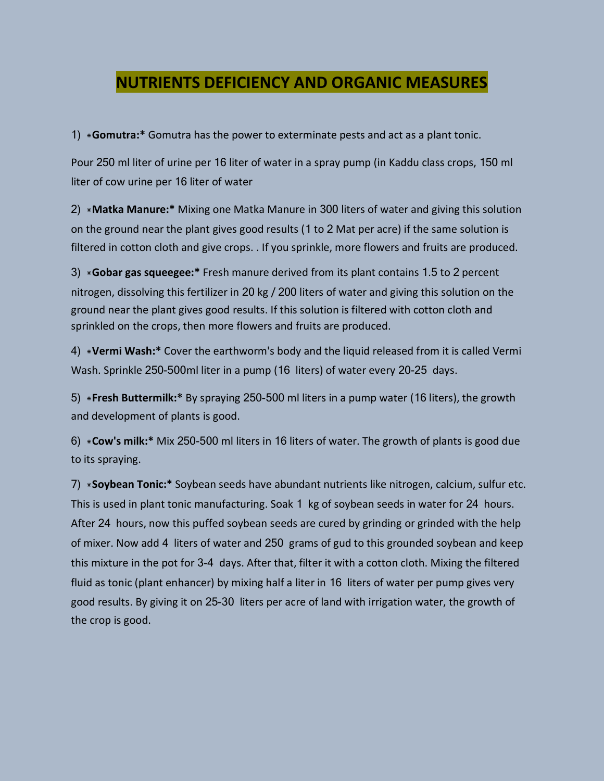#### **NUTRIENTS DEFICIENCY AND ORGANIC MEASURES**

1) \***Gomutra:\*** Gomutra has the power to exterminate pests and act as a plant tonic.

Pour 250 ml liter of urine per 16 liter of water in a spray pump (in Kaddu class crops, 150 ml liter of cow urine per 16 liter of water

2) \***Matka Manure:\*** Mixing one Matka Manure in 300 liters of water and giving this solution on the ground near the plant gives good results (1 to 2 Mat per acre) if the same solution is filtered in cotton cloth and give crops. . If you sprinkle, more flowers and fruits are produced.

3) \***Gobar gas squeegee:\*** Fresh manure derived from its plant contains 1.5 to 2 percent nitrogen, dissolving this fertilizer in 20 kg / 200 liters of water and giving this solution on the ground near the plant gives good results. If this solution is filtered with cotton cloth and sprinkled on the crops, then more flowers and fruits are produced.

4) \***Vermi Wash:\*** Cover the earthworm's body and the liquid released from it is called Vermi Wash. Sprinkle 250-500ml liter in a pump (16 liters) of water every 20-25 days.

5) \***Fresh Buttermilk:\*** By spraying 250-500 ml liters in a pump water (16 liters), the growth and development of plants is good.

6) \***Cow's milk:\*** Mix 250-500 ml liters in 16 liters of water. The growth of plants is good due to its spraying.

7) \***Soybean Tonic:\*** Soybean seeds have abundant nutrients like nitrogen, calcium, sulfur etc. This is used in plant tonic manufacturing. Soak 1 kg of soybean seeds in water for 24 hours. After 24 hours, now this puffed soybean seeds are cured by grinding or grinded with the help of mixer. Now add 4 liters of water and 250 grams of gud to this grounded soybean and keep this mixture in the pot for 3-4 days. After that, filter it with a cotton cloth. Mixing the filtered fluid as tonic (plant enhancer) by mixing half a liter in 16 liters of water per pump gives very good results. By giving it on 25-30 liters per acre of land with irrigation water, the growth of the crop is good.